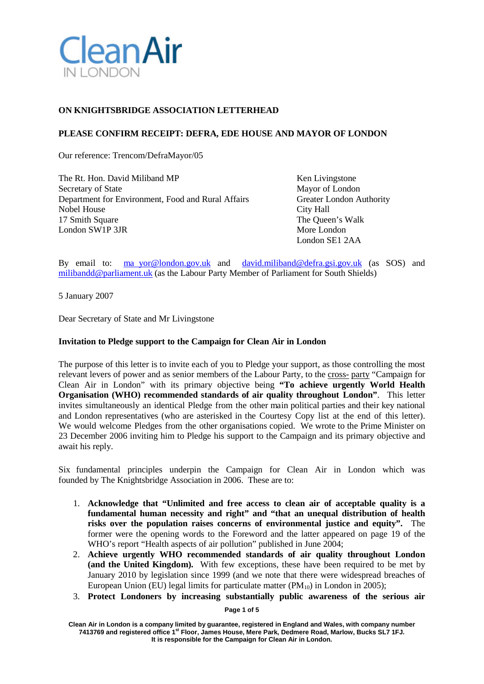

# **ON KNIGHTSBRIDGE ASSOCIATION LETTERHEAD**

## **PLEASE CONFIRM RECEIPT: DEFRA, EDE HOUSE AND MAYOR OF LONDON**

Our reference: Trencom/DefraMayor/05

The Rt. Hon. David Miliband MP Ken Livingstone Secretary of State Mayor of London<br>Department for Environment. Food and Rural Affairs Greater London Authority Department for Environment, Food and Rural Affairs Nobel House City Hall 17 Smith Square The Queen's Walk London SW1P 3JR More London

London SE1 2AA

By email to: ma [yor@london.gov.uk](mailto:yor@london.gov.uk) and [david.miliband@defra.gsi.gov.uk](mailto:david.miliband@defra.gsi.gov.uk) (as SOS) and [milibandd@parliament.uk](mailto:milibandd@parliament.uk) (as the Labour Party Member of Parliament for South Shields)

5 January 2007

Dear Secretary of State and Mr Livingstone

### **Invitation to Pledge support to the Campaign for Clean Air in London**

The purpose of this letter is to invite each of you to Pledge your support, as those controlling the most relevant levers of power and as senior members of the Labour Party, to the cross- party "Campaign for Clean Air in London" with its primary objective being **"To achieve urgently World Health Organisation (WHO) recommended standards of air quality throughout London"**. This letter invites simultaneously an identical Pledge from the other main political parties and their key national and London representatives (who are asterisked in the Courtesy Copy list at the end of this letter). We would welcome Pledges from the other organisations copied. We wrote to the Prime Minister on 23 December 2006 inviting him to Pledge his support to the Campaign and its primary objective and await his reply.

Six fundamental principles underpin the Campaign for Clean Air in London which was founded by The Knightsbridge Association in 2006. These are to:

- 1. **Acknowledge that "Unlimited and free access to clean air of acceptable quality is a fundamental human necessity and right" and "that an unequal distribution of health risks over the population raises concerns of environmental justice and equity".** The former were the opening words to the Foreword and the latter appeared on page 19 of the WHO's report "Health aspects of air pollution" published in June 2004;
- 2. **Achieve urgently WHO recommended standards of air quality throughout London (and the United Kingdom).** With few exceptions, these have been required to be met by January 2010 by legislation since 1999 (and we note that there were widespread breaches of European Union (EU) legal limits for particulate matter  $(PM_{10})$  in London in 2005);
- 3. **Protect Londoners by increasing substantially public awareness of the serious air**

**Page 1 of 5**

**Clean Air in London is a company limited by guarantee, registered in England and Wales, with company number 7413769 and registered office 1st Floor, James House, Mere Park, Dedmere Road, Marlow, Bucks SL7 1FJ. It is responsible for the Campaign for Clean Air in London.**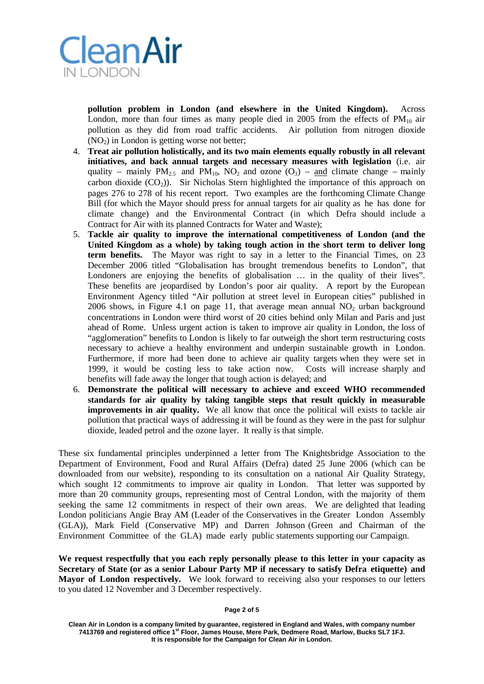

**pollution problem in London (and elsewhere in the United Kingdom).** Across London, more than four times as many people died in 2005 from the effects of  $PM_{10}$  air pollution as they did from road traffic accidents. Air pollution from nitrogen dioxide  $(NO<sub>2</sub>)$  in London is getting worse not better;

- 4. **Treat air pollution holistically, and its two main elements equally robustly in all relevant initiatives, and back annual targets and necessary measures with legislation** (i.e. air quality – mainly  $PM_{2.5}$  and  $PM_{10}$ ,  $NO_2$  and ozone  $(O_3)$  – and climate change – mainly carbon dioxide  $(CO_2)$ ). Sir Nicholas Stern highlighted the importance of this approach on pages 276 to 278 of his recent report. Two examples are the forthcoming Climate Change Bill (for which the Mayor should press for annual targets for air quality as he has done for climate change) and the Environmental Contract (in which Defra should include a Contract for Air with its planned Contracts for Water and Waste);
- 5. **Tackle air quality to improve the international competitiveness of London (and the United Kingdom as a whole) by taking tough action in the short term to deliver long term benefits.** The Mayor was right to say in a letter to the Financial Times, on 23 December 2006 titled "Globalisation has brought tremendous benefits to London", that Londoners are enjoying the benefits of globalisation … in the quality of their lives". These benefits are jeopardised by London's poor air quality. A report by the European Environment Agency titled "Air pollution at street level in European cities" published in 2006 shows, in Figure 4.1 on page 11, that average mean annual  $NO<sub>2</sub>$  urban background concentrations in London were third worst of 20 cities behind only Milan and Paris and just ahead of Rome. Unless urgent action is taken to improve air quality in London, the loss of "agglomeration" benefits to London is likely to far outweigh the short term restructuring costs necessary to achieve a healthy environment and underpin sustainable growth in London. Furthermore, if more had been done to achieve air quality targets when they were set in 1999, it would be costing less to take action now. Costs will increase sharply and benefits will fade away the longer that tough action is delayed; and
- 6. **Demonstrate the political will necessary to achieve and exceed WHO recommended standards for air quality by taking tangible steps that result quickly in measurable improvements in air quality.** We all know that once the political will exists to tackle air pollution that practical ways of addressing it will be found as they were in the past for sulphur dioxide, leaded petrol and the ozone layer. It really is that simple.

These six fundamental principles underpinned a letter from The Knightsbridge Association to the Department of Environment, Food and Rural Affairs (Defra) dated 25 June 2006 (which can be downloaded from our website), responding to its consultation on a national Air Quality Strategy, which sought 12 commitments to improve air quality in London. That letter was supported by more than 20 community groups, representing most of Central London, with the majority of them seeking the same 12 commitments in respect of their own areas. We are delighted that leading London politicians Angie Bray AM (Leader of the Conservatives in the Greater London Assembly (GLA)), Mark Field (Conservative MP) and Darren Johnson (Green and Chairman of the Environment Committee of the GLA) made early public statements supporting our Campaign.

**We request respectfully that you each reply personally please to this letter in your capacity as Secretary of State (or as a senior Labour Party MP if necessary to satisfy Defra etiquette) and Mayor of London respectively.** We look forward to receiving also your responses to our letters to you dated 12 November and 3 December respectively.

#### **Page 2 of 5**

**Clean Air in London is a company limited by guarantee, registered in England and Wales, with company number 7413769 and registered office 1st Floor, James House, Mere Park, Dedmere Road, Marlow, Bucks SL7 1FJ. It is responsible for the Campaign for Clean Air in London.**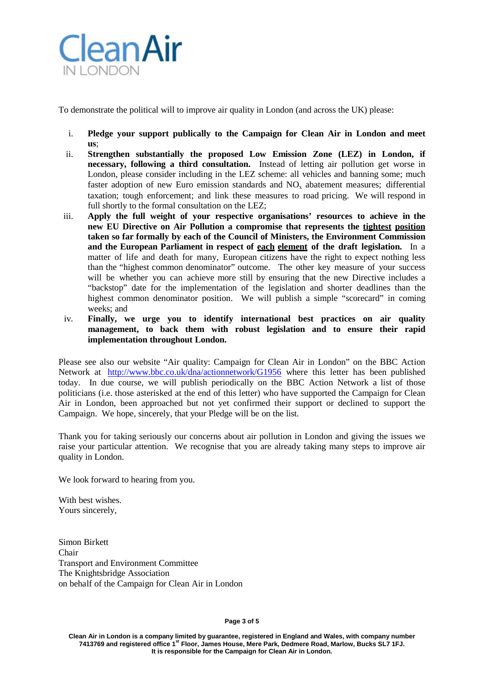

To demonstrate the political will to improve air quality in London (and across the UK) please:

- i. **Pledge your support publically to the Campaign for Clean Air in London and meet us**;
- ii. **Strengthen substantially the proposed Low Emission Zone (LEZ) in London, if necessary, following a third consultation.** Instead of letting air pollution get worse in London, please consider including in the LEZ scheme: all vehicles and banning some; much faster adoption of new Euro emission standards and  $NO<sub>x</sub>$  abatement measures; differential taxation; tough enforcement; and link these measures to road pricing. We will respond in full shortly to the formal consultation on the LEZ;
- iii. **Apply the full weight of your respective organisations' resources to achieve in the new EU Directive on Air Pollution a compromise that represents the tightest position taken so far formally by each of the Council of Ministers, the Environment Commission and the European Parliament in respect of each element of the draft legislation.** In a matter of life and death for many, European citizens have the right to expect nothing less than the "highest common denominator" outcome. The other key measure of your success will be whether you can achieve more still by ensuring that the new Directive includes a "backstop" date for the implementation of the legislation and shorter deadlines than the highest common denominator position. We will publish a simple "scorecard" in coming weeks; and
- iv. **Finally, we urge you to identify international best practices on air quality management, to back them with robust legislation and to ensure their rapid implementation throughout London.**

Please see also our website "Air quality: Campaign for Clean Air in London" on the BBC Action Network at <http://www.bbc.co.uk/dna/actionnetwork/G1956> where this letter has been published today. In due course, we will publish periodically on the BBC Action Network a list of those politicians (i.e. those asterisked at the end of this letter) who have supported the Campaign for Clean Air in London, been approached but not yet confirmed their support or declined to support the Campaign. We hope, sincerely, that your Pledge will be on the list.

Thank you for taking seriously our concerns about air pollution in London and giving the issues we raise your particular attention. We recognise that you are already taking many steps to improve air quality in London.

We look forward to hearing from you.

With best wishes. Yours sincerely,

Simon Birkett Chair Transport and Environment Committee The Knightsbridge Association on behalf of the Campaign for Clean Air in London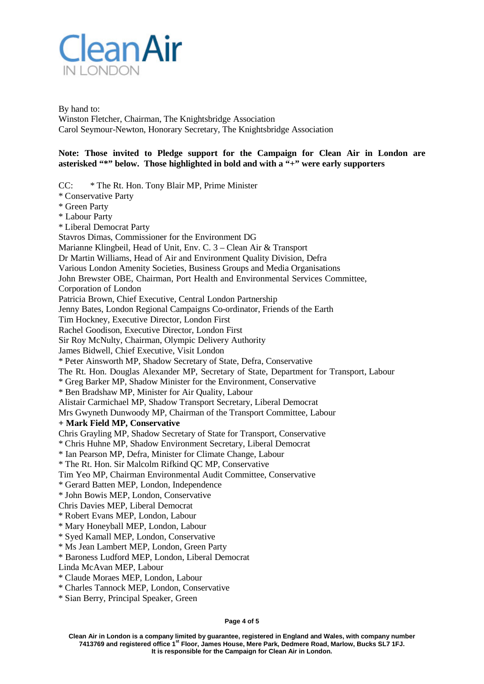

By hand to: Winston Fletcher, Chairman, The Knightsbridge Association Carol Seymour-Newton, Honorary Secretary, The Knightsbridge Association

## **Note: Those invited to Pledge support for the Campaign for Clean Air in London are asterisked "\*" below. Those highlighted in bold and with a "+" were early supporters**

CC: \* The Rt. Hon. Tony Blair MP, Prime Minister \* Conservative Party \* Green Party \* Labour Party \* Liberal Democrat Party Stavros Dimas, Commissioner for the Environment DG Marianne Klingbeil, Head of Unit, Env. C. 3 – Clean Air & Transport Dr Martin Williams, Head of Air and Environment Quality Division, Defra Various London Amenity Societies, Business Groups and Media Organisations John Brewster OBE, Chairman, Port Health and Environmental Services Committee, Corporation of London Patricia Brown, Chief Executive, Central London Partnership Jenny Bates, London Regional Campaigns Co-ordinator, Friends of the Earth Tim Hockney, Executive Director, London First Rachel Goodison, Executive Director, London First Sir Roy McNulty, Chairman, Olympic Delivery Authority James Bidwell, Chief Executive, Visit London \* Peter Ainsworth MP, Shadow Secretary of State, Defra, Conservative The Rt. Hon. Douglas Alexander MP, Secretary of State, Department for Transport, Labour \* Greg Barker MP, Shadow Minister for the Environment, Conservative \* Ben Bradshaw MP, Minister for Air Quality, Labour Alistair Carmichael MP, Shadow Transport Secretary, Liberal Democrat Mrs Gwyneth Dunwoody MP, Chairman of the Transport Committee, Labour **+ Mark Field MP, Conservative** Chris Grayling MP, Shadow Secretary of State for Transport, Conservative \* Chris Huhne MP, Shadow Environment Secretary, Liberal Democrat \* Ian Pearson MP, Defra, Minister for Climate Change, Labour \* The Rt. Hon. Sir Malcolm Rifkind QC MP, Conservative Tim Yeo MP, Chairman Environmental Audit Committee, Conservative \* Gerard Batten MEP, London, Independence \* John Bowis MEP, London, Conservative Chris Davies MEP, Liberal Democrat \* Robert Evans MEP, London, Labour \* Mary Honeyball MEP, London, Labour \* Syed Kamall MEP, London, Conservative \* Ms Jean Lambert MEP, London, Green Party \* Baroness Ludford MEP, London, Liberal Democrat Linda McAvan MEP, Labour \* Claude Moraes MEP, London, Labour \* Charles Tannock MEP, London, Conservative \* Sian Berry, Principal Speaker, Green

**Page 4 of 5**

**Clean Air in London is a company limited by guarantee, registered in England and Wales, with company number 7413769 and registered office 1st Floor, James House, Mere Park, Dedmere Road, Marlow, Bucks SL7 1FJ. It is responsible for the Campaign for Clean Air in London.**